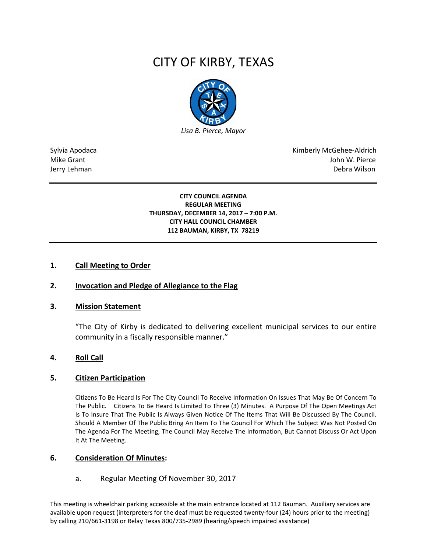# CITY OF KIRBY, TEXAS



Sylvia Apodaca National Apodaca Kimberly McGehee-Aldrich Mike Grant John W. Pierce Jerry Lehman Debra Wilson (2008) and the state of the state of the state of the state of the state of the state of the state of the state of the state of the state of the state of the state of the state of the state of the

#### **CITY COUNCIL AGENDA REGULAR MEETING THURSDAY, DECEMBER 14, 2017 – 7:00 P.M. CITY HALL COUNCIL CHAMBER 112 BAUMAN, KIRBY, TX 78219**

## **1. Call Meeting to Order**

## **2. Invocation and Pledge of Allegiance to the Flag**

#### **3. Mission Statement**

"The City of Kirby is dedicated to delivering excellent municipal services to our entire community in a fiscally responsible manner."

#### **4. Roll Call**

#### **5. Citizen Participation**

Citizens To Be Heard Is For The City Council To Receive Information On Issues That May Be Of Concern To The Public. Citizens To Be Heard Is Limited To Three (3) Minutes. A Purpose Of The Open Meetings Act Is To Insure That The Public Is Always Given Notice Of The Items That Will Be Discussed By The Council. Should A Member Of The Public Bring An Item To The Council For Which The Subject Was Not Posted On The Agenda For The Meeting, The Council May Receive The Information, But Cannot Discuss Or Act Upon It At The Meeting.

#### **6. Consideration Of Minutes:**

#### a. Regular Meeting Of November 30, 2017

This meeting is wheelchair parking accessible at the main entrance located at 112 Bauman. Auxiliary services are available upon request (interpreters for the deaf must be requested twenty-four (24) hours prior to the meeting) by calling 210/661-3198 or Relay Texas 800/735-2989 (hearing/speech impaired assistance)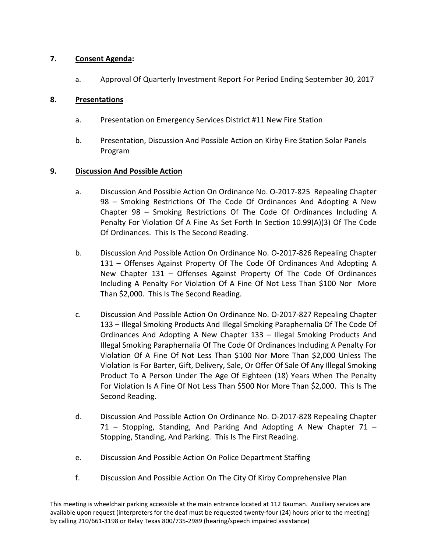# **7. Consent Agenda:**

a. Approval Of Quarterly Investment Report For Period Ending September 30, 2017

# **8. Presentations**

- a. Presentation on Emergency Services District #11 New Fire Station
- b. Presentation, Discussion And Possible Action on Kirby Fire Station Solar Panels Program

# **9. Discussion And Possible Action**

- a. Discussion And Possible Action On Ordinance No. O-2017-825 Repealing Chapter 98 – Smoking Restrictions Of The Code Of Ordinances And Adopting A New Chapter 98 – Smoking Restrictions Of The Code Of Ordinances Including A Penalty For Violation Of A Fine As Set Forth In Section 10.99(A)(3) Of The Code Of Ordinances. This Is The Second Reading.
- b. Discussion And Possible Action On Ordinance No. O-2017-826 Repealing Chapter 131 – Offenses Against Property Of The Code Of Ordinances And Adopting A New Chapter 131 – Offenses Against Property Of The Code Of Ordinances Including A Penalty For Violation Of A Fine Of Not Less Than \$100 Nor More Than \$2,000. This Is The Second Reading.
- c. Discussion And Possible Action On Ordinance No. O-2017-827 Repealing Chapter 133 – Illegal Smoking Products And Illegal Smoking Paraphernalia Of The Code Of Ordinances And Adopting A New Chapter 133 – Illegal Smoking Products And Illegal Smoking Paraphernalia Of The Code Of Ordinances Including A Penalty For Violation Of A Fine Of Not Less Than \$100 Nor More Than \$2,000 Unless The Violation Is For Barter, Gift, Delivery, Sale, Or Offer Of Sale Of Any Illegal Smoking Product To A Person Under The Age Of Eighteen (18) Years When The Penalty For Violation Is A Fine Of Not Less Than \$500 Nor More Than \$2,000. This Is The Second Reading.
- d. Discussion And Possible Action On Ordinance No. O-2017-828 Repealing Chapter 71 – Stopping, Standing, And Parking And Adopting A New Chapter 71 – Stopping, Standing, And Parking. This Is The First Reading.
- e. Discussion And Possible Action On Police Department Staffing
- f. Discussion And Possible Action On The City Of Kirby Comprehensive Plan

This meeting is wheelchair parking accessible at the main entrance located at 112 Bauman. Auxiliary services are available upon request (interpreters for the deaf must be requested twenty-four (24) hours prior to the meeting) by calling 210/661-3198 or Relay Texas 800/735-2989 (hearing/speech impaired assistance)